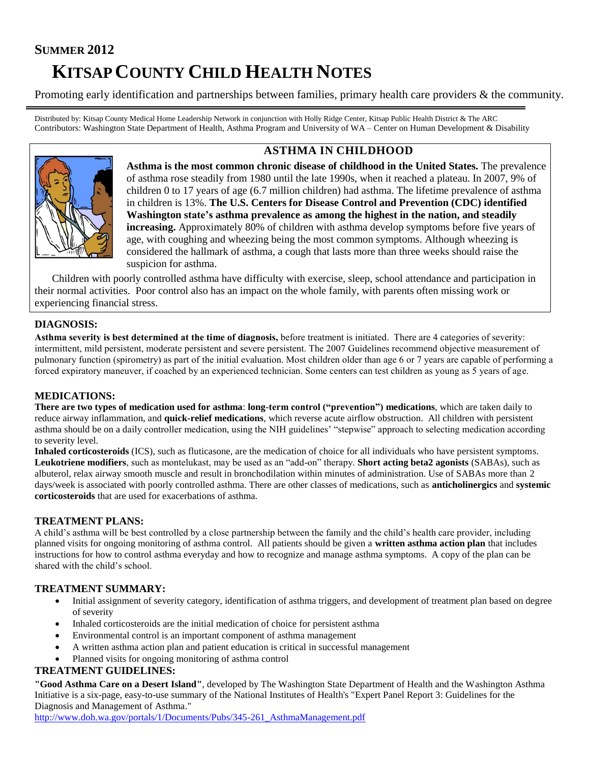# **SUMMER 2012 KITSAP COUNTY CHILD HEALTH NOTES**

Promoting early identification and partnerships between families, primary health care providers & the community.

Distributed by: Kitsap County Medical Home Leadership Network in conjunction with Holly Ridge Center, Kitsap Public Health District & The ARC Contributors: Washington State Department of Health, Asthma Program and University of WA – Center on Human Development & Disability



## **ASTHMA IN CHILDHOOD**

**Asthma is the most common chronic disease of childhood in the United States.** The prevalence of asthma rose steadily from 1980 until the late 1990s, when it reached a plateau. In 2007, 9% of children 0 to 17 years of age (6.7 million children) had asthma. The lifetime prevalence of asthma in children is 13%. **The U.S. Centers for Disease Control and Prevention (CDC) identified Washington state's asthma prevalence as among the highest in the nation, and steadily increasing.** Approximately 80% of children with asthma develop symptoms before five years of age, with coughing and wheezing being the most common symptoms. Although wheezing is considered the hallmark of asthma, a cough that lasts more than three weeks should raise the suspicion for asthma.

 Children with poorly controlled asthma have difficulty with exercise, sleep, school attendance and participation in their normal activities. Poor control also has an impact on the whole family, with parents often missing work or experiencing financial stress.

## **DIAGNOSIS:**

**Asthma severity is best determined at the time of diagnosis,** before treatment is initiated. There are 4 categories of severity: intermittent, mild persistent, moderate persistent and severe persistent. The 2007 Guidelines recommend objective measurement of pulmonary function (spirometry) as part of the initial evaluation. Most children older than age 6 or 7 years are capable of performing a forced expiratory maneuver, if coached by an experienced technician. Some centers can test children as young as 5 years of age.

## **MEDICATIONS:**

**There are two types of medication used for asthma**: **long-term control ("prevention") medications**, which are taken daily to reduce airway inflammation, and **quick-relief medications**, which reverse acute airflow obstruction. All children with persistent asthma should be on a daily controller medication, using the NIH guidelines' "stepwise" approach to selecting medication according to severity level.

**Inhaled corticosteroids** (ICS), such as fluticasone, are the medication of choice for all individuals who have persistent symptoms. **Leukotriene modifiers**, such as montelukast, may be used as an "add-on" therapy. **Short acting beta2 agonists** (SABAs), such as albuterol, relax airway smooth muscle and result in bronchodilation within minutes of administration. Use of SABAs more than 2 days/week is associated with poorly controlled asthma. There are other classes of medications, such as **anticholinergics** and **systemic corticosteroids** that are used for exacerbations of asthma.

## **TREATMENT PLANS:**

A child's asthma will be best controlled by a close partnership between the family and the child's health care provider, including planned visits for ongoing monitoring of asthma control. All patients should be given a **written asthma action plan** that includes instructions for how to control asthma everyday and how to recognize and manage asthma symptoms. A copy of the plan can be shared with the child's school.

## **TREATMENT SUMMARY:**

- Initial assignment of severity category, identification of asthma triggers, and development of treatment plan based on degree of severity
- Inhaled corticosteroids are the initial medication of choice for persistent asthma
- Environmental control is an important component of asthma management
- A written asthma action plan and patient education is critical in successful management
- Planned visits for ongoing monitoring of asthma control

## **TREATMENT GUIDELINES:**

**["Good Asthma Care on a Desert Island"](http://www.doh.wa.gov/cfh/asthma/publications/EPR-3Tool.pdf)**, developed by The Washington State Department of Health and the Washington Asthma Initiative is a six-page, easy-to-use summary of the National Institutes of Health's "Expert Panel Report 3: Guidelines for the Diagnosis and Management of Asthma."

[http://www.doh.wa.gov/portals/1/Documents/Pubs/345-261\\_AsthmaManagement.pdf](http://www.doh.wa.gov/portals/1/Documents/Pubs/345-261_AsthmaManagement.pdf)